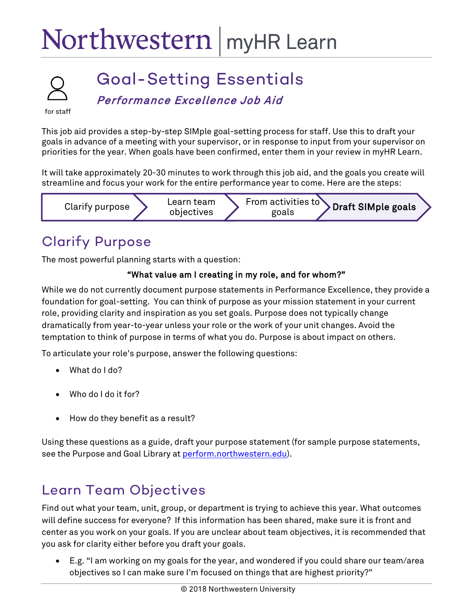# Northwestern | myHR Learn



## Goal-Setting Essentials

Performance Excellence Job Aid

for staff

This job aid provides a step-by-step SIMple goal-setting process for staff. Use this to draft your goals in advance of a meeting with your supervisor, or in response to input from your supervisor on priorities for the year. When goals have been confirmed, enter them in your review in myHR Learn.

It will take approximately 20-30 minutes to work through this job aid, and the goals you create will streamline and focus your work for the entire performance year to come. Here are the steps:



## Clarify Purpose

The most powerful planning starts with a question:

#### "What value am I creating in my role, and for whom?"

While we do not currently document purpose statements in Performance Excellence, they provide a foundation for goal-setting. You can think of purpose as your mission statement in your current role, providing clarity and inspiration as you set goals. Purpose does not typically change dramatically from year-to-year unless your role or the work of your unit changes. Avoid the temptation to think of purpose in terms of what you do. Purpose is about impact on others.

To articulate your role's purpose, answer the following questions:

- What do I do?
- Who do I do it for?
- How do they benefit as a result?

Using these questions as a guide, draft your purpose statement (for sample purpose statements, see the Purpose and Goal Library at perform.northwestern.edu).

#### Learn Team Objectives

Find out what your team, unit, group, or department is trying to achieve this year. What outcomes will define success for everyone? If this information has been shared, make sure it is front and center as you work on your goals. If you are unclear about team objectives, it is recommended that you ask for clarity either before you draft your goals.

• E.g. "I am working on my goals for the year, and wondered if you could share our team/area objectives so I can make sure I'm focused on things that are highest priority?"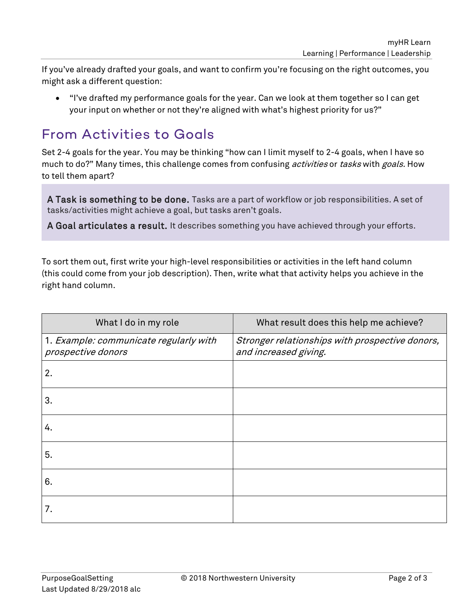If you've already drafted your goals, and want to confirm you're focusing on the right outcomes, you might ask a different question:

• "I've drafted my performance goals for the year. Can we look at them together so I can get your input on whether or not they're aligned with what's highest priority for us?"

#### From Activities to Goals

Set 2-4 goals for the year. You may be thinking "how can I limit myself to 2-4 goals, when I have so much to do?" Many times, this challenge comes from confusing *activities* or *tasks* with goals. How to tell them apart?

A Task is something to be done. Tasks are a part of workflow or job responsibilities. A set of tasks/activities might achieve a goal, but tasks aren't goals.

A Goal articulates a result. It describes something you have achieved through your efforts.

To sort them out, first write your high-level responsibilities or activities in the left hand column (this could come from your job description). Then, write what that activity helps you achieve in the right hand column.

| What I do in my role                                         | What result does this help me achieve?                                   |
|--------------------------------------------------------------|--------------------------------------------------------------------------|
| 1. Example: communicate regularly with<br>prospective donors | Stronger relationships with prospective donors,<br>and increased giving. |
| 2.                                                           |                                                                          |
| 3.                                                           |                                                                          |
| 4.                                                           |                                                                          |
| 5.                                                           |                                                                          |
| 6.                                                           |                                                                          |
| 7.                                                           |                                                                          |